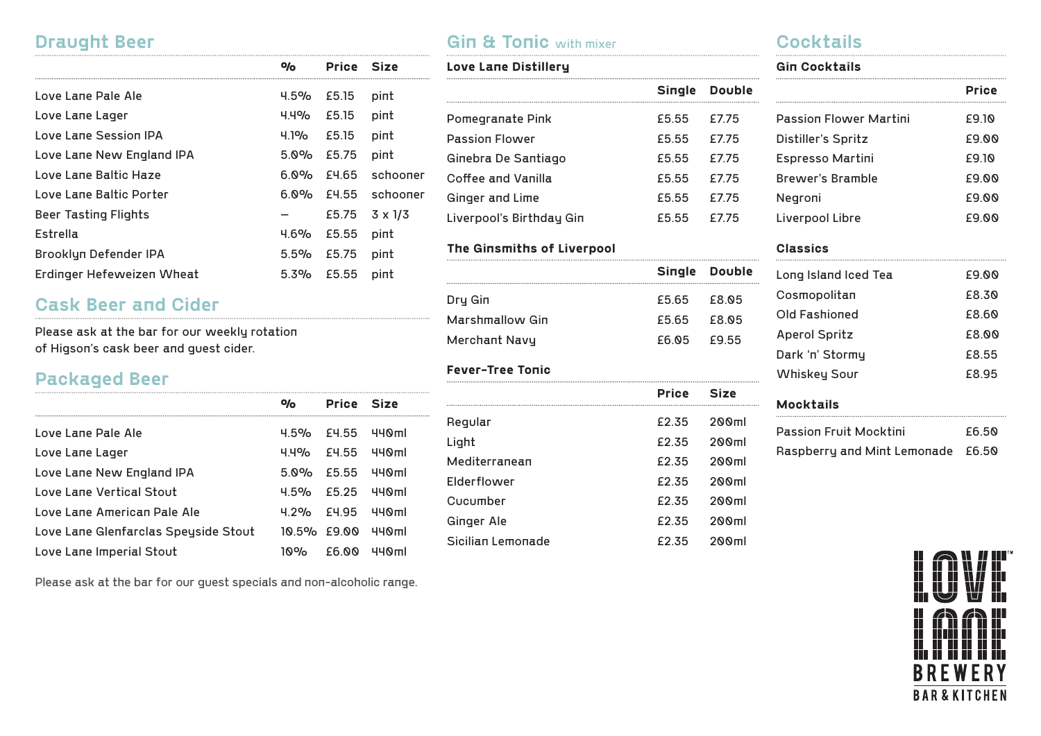### **Draught Beer**

|                           | 0/ο  | Price | Size           |
|---------------------------|------|-------|----------------|
| Love Lane Pale Ale        | 4.5% | £5.15 | pint           |
| Love Lane Lager           | 4.4% | £5.15 | pint           |
| Love Lane Session IPA     | 4.1% | £5.15 | pint           |
| Love Lane New England IPA | 5.0% | £5.75 | pint           |
| Love Lane Baltic Haze     | 6.0% | £4.65 | schooner       |
| Love Lane Baltic Porter   | 6.0% | £4.55 | schooner       |
| Beer Tasting Flights      |      | £5.75 | $3 \times 1/3$ |
| Estrella                  | 4.6% | £5.55 | pint           |
| Brooklyn Defender IPA     | 5.5% | £5.75 | pint           |
| Erdinger Hefeweizen Wheat | 5.3% | £5.55 | pint           |

## **Cask Beer and Cider**

Please ask at the bar for our weekly rotation of Higson's cask beer and guest cider.

## **Packaged Beer**

|                                      | o <sub>o</sub>  | Price Size    |                   |
|--------------------------------------|-----------------|---------------|-------------------|
| Love Lane Pale Ale                   | $4.5\%$ $E4.55$ |               | 440ml             |
| Love Lane Lager                      |                 | 4.4% E4.55    | 440ml             |
| Love Lane New England IPA            | $5.0\%$ £5.55   |               | 440ml             |
| Love Lane Vertical Stout             |                 | $4.5\%$ £5.25 | 440ml             |
| Love Lane American Pale Ale          | $4.2%$ £4.95    |               | 440ml             |
| Love Lane Glenfarclas Speyside Stout | 10.5% £9.00     |               | 440 <sub>m1</sub> |
| Love Lane Imperial Stout             | 10%             | E6.NN         | 440 <sub>m1</sub> |

Please ask at the bar for our guest specials and non-alcoholic range.

## **Gin & Tonic** with mixer

| Love Lane Distillery     |       |               | G |  |
|--------------------------|-------|---------------|---|--|
|                          |       | Single Double |   |  |
| Pomegranate Pink         | £5.55 | £7.75         | P |  |
| <b>Passion Flower</b>    | £5.55 | F775          | n |  |
| Ginebra De Santiago      | £5.55 | F775          | Е |  |
| Coffee and Vanilla       | £5.55 | F775          | В |  |
| Ginger and Lime          | £5.55 | F775          | N |  |
| Liverpool's Birthday Gin | £5.55 | F775          |   |  |

#### **The Ginsmiths of Liverpool**

| Single Double<br>£5.65 £8.05<br>£5.65 £8.05<br>E6.05 E9.55 |
|------------------------------------------------------------|

#### **Fever-Tree Tonic**  $\cdots$

|                   | <b>Price</b> | Size  |
|-------------------|--------------|-------|
| Regular           | £2.35        | 200ml |
| Light             | £2.35        | 200ml |
| Mediterranean     | £2.35        | 200ml |
| Elderflower       | £2.35        | 200ml |
| Cucumber          | £2.35        | 200ml |
| Ginger Ale        | £2.35        | 200ml |
| Sicilian Lemonade | £2.35        | 200ml |

### **Cocktails**

|      | <b>Gin Cocktails</b>          |              |
|------|-------------------------------|--------------|
| ıble |                               | <b>Price</b> |
| 5    | <b>Passion Flower Martini</b> | £9.10        |
| 5    | Distiller's Spritz            | £9.00        |
| 5    | Espresso Martini              | £9.10        |
| 5    | Brewer's Bramble              | £9.00        |
| 5    | Negroni                       | £9.00        |
| 5    | Liverpool Libre               | £9.00        |
|      |                               |              |

#### **Classics**

| Long Island Iced Tea | E9.00 |
|----------------------|-------|
| Cosmopolitan         | £8.30 |
| Old Fashioned        | £8.60 |
| Aperol Spritz        | E8.00 |
| Dark 'n' Stormy      | £8.55 |
| Whiskey Sour         | £8.95 |
|                      |       |

#### **Mocktails**

| Passion Fruit Mocktini            | F6 50 |
|-----------------------------------|-------|
| Raspberry and Mint Lemonade £6.50 |       |